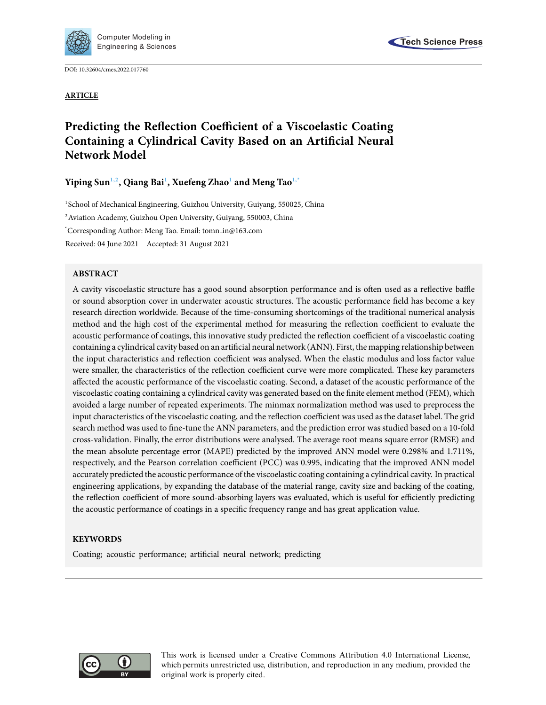

DOI: [10.32604/cmes.2022.017760](http://dx.doi.org/10.32604/cmes.2022.017760)



# **Predicting the Reflection Coefficient of a Viscoelastic Coating Containing a Cylindrical Cavity Based on an Artificial Neural Network Model**

**Yiping Su[n1](#page-0-0)[,2,](#page-0-1) Qiang Ba[i1](#page-0-0) , Xuefeng Zha[o1](#page-0-0) and Meng Ta[o1](#page-0-0)[,\\*](#page-0-2)**

<span id="page-0-0"></span><sup>1</sup>School of Mechanical Engineering, Guizhou University, Guiyang, 550025, China

<span id="page-0-1"></span><sup>2</sup> Aviation Academy, Guizhou Open University, Guiyang, 550003, China

<span id="page-0-2"></span>\* Corresponding Author: Meng Tao. Email: tomn in@163.com

Received: 04 June 2021 Accepted: 31 August 2021

# **ABSTRACT**

A cavity viscoelastic structure has a good sound absorption performance and is often used as a reflective baffle or sound absorption cover in underwater acoustic structures. The acoustic performance field has become a key research direction worldwide. Because of the time-consuming shortcomings of the traditional numerical analysis method and the high cost of the experimental method for measuring the reflection coefficient to evaluate the acoustic performance of coatings, this innovative study predicted the reflection coefficient of a viscoelastic coating containing a cylindrical cavity based on an artificial neural network (ANN). First, the mapping relationship between the input characteristics and reflection coefficient was analysed. When the elastic modulus and loss factor value were smaller, the characteristics of the reflection coefficient curve were more complicated. These key parameters affected the acoustic performance of the viscoelastic coating. Second, a dataset of the acoustic performance of the viscoelastic coating containing a cylindrical cavity was generated based on the finite element method (FEM), which avoided a large number of repeated experiments. The minmax normalization method was used to preprocess the input characteristics of the viscoelastic coating, and the reflection coefficient was used as the dataset label. The grid search method was used to fine-tune the ANN parameters, and the prediction error was studied based on a 10-fold cross-validation. Finally, the error distributions were analysed. The average root means square error (RMSE) and the mean absolute percentage error (MAPE) predicted by the improved ANN model were 0.298% and 1.711%, respectively, and the Pearson correlation coefficient (PCC) was 0.995, indicating that the improved ANN model accurately predicted the acoustic performance of the viscoelastic coating containing a cylindrical cavity. In practical engineering applications, by expanding the database of the material range, cavity size and backing of the coating, the reflection coefficient of more sound-absorbing layers was evaluated, which is useful for efficiently predicting the acoustic performance of coatings in a specific frequency range and has great application value.

# **KEYWORDS**

Coating; acoustic performance; artificial neural network; predicting



This work is licensed under a Creative Commons Attribution 4.0 International License, which permits unrestricted use, distribution, and reproduction in any medium, provided the original work is properly cited.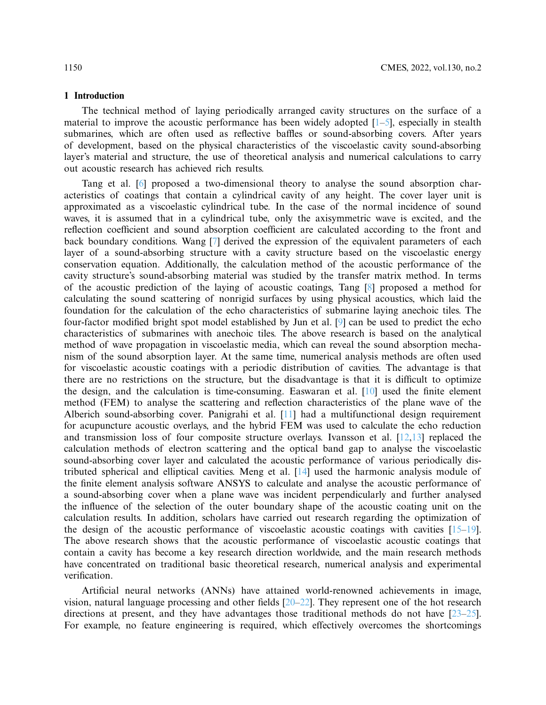# **1 Introduction**

The technical method of laying periodically arranged cavity structures on the surface of a material to improve the acoustic performance has been widely adopted  $[1-5]$  $[1-5]$ , especially in stealth submarines, which are often used as reflective baffles or sound-absorbing covers. After years of development, based on the physical characteristics of the viscoelastic cavity sound-absorbing layer's material and structure, the use of theoretical analysis and numerical calculations to carry out acoustic research has achieved rich results.

Tang et al. [\[6](#page-19-1)] proposed a two-dimensional theory to analyse the sound absorption characteristics of coatings that contain a cylindrical cavity of any height. The cover layer unit is approximated as a viscoelastic cylindrical tube. In the case of the normal incidence of sound waves, it is assumed that in a cylindrical tube, only the axisymmetric wave is excited, and the reflection coefficient and sound absorption coefficient are calculated according to the front and back boundary conditions. Wang [\[7\]](#page-19-2) derived the expression of the equivalent parameters of each layer of a sound-absorbing structure with a cavity structure based on the viscoelastic energy conservation equation. Additionally, the calculation method of the acoustic performance of the cavity structure's sound-absorbing material was studied by the transfer matrix method. In terms of the acoustic prediction of the laying of acoustic coatings, Tang [\[8\]](#page-19-3) proposed a method for calculating the sound scattering of nonrigid surfaces by using physical acoustics, which laid the foundation for the calculation of the echo characteristics of submarine laying anechoic tiles. The four-factor modified bright spot model established by Jun et al. [\[9\]](#page-19-4) can be used to predict the echo characteristics of submarines with anechoic tiles. The above research is based on the analytical method of wave propagation in viscoelastic media, which can reveal the sound absorption mechanism of the sound absorption layer. At the same time, numerical analysis methods are often used for viscoelastic acoustic coatings with a periodic distribution of cavities. The advantage is that there are no restrictions on the structure, but the disadvantage is that it is difficult to optimize the design, and the calculation is time-consuming. Easwaran et al. [\[10](#page-19-5)] used the finite element method (FEM) to analyse the scattering and reflection characteristics of the plane wave of the Alberich sound-absorbing cover. Panigrahi et al. [\[11\]](#page-19-6) had a multifunctional design requirement for acupuncture acoustic overlays, and the hybrid FEM was used to calculate the echo reduction and transmission loss of four composite structure overlays. Ivansson et al. [\[12](#page-19-7)[,13\]](#page-19-8) replaced the calculation methods of electron scattering and the optical band gap to analyse the viscoelastic sound-absorbing cover layer and calculated the acoustic performance of various periodically distributed spherical and elliptical cavities. Meng et al. [\[14\]](#page-19-9) used the harmonic analysis module of the finite element analysis software ANSYS to calculate and analyse the acoustic performance of a sound-absorbing cover when a plane wave was incident perpendicularly and further analysed the influence of the selection of the outer boundary shape of the acoustic coating unit on the calculation results. In addition, scholars have carried out research regarding the optimization of the design of the acoustic performance of viscoelastic acoustic coatings with cavities [\[15](#page-19-10)[–19](#page-19-11)]. The above research shows that the acoustic performance of viscoelastic acoustic coatings that contain a cavity has become a key research direction worldwide, and the main research methods have concentrated on traditional basic theoretical research, numerical analysis and experimental verification.

Artificial neural networks (ANNs) have attained world-renowned achievements in image, vision, natural language processing and other fields [\[20](#page-19-12)[–22\]](#page-19-13). They represent one of the hot research directions at present, and they have advantages those traditional methods do not have [\[23](#page-20-0)[–25](#page-20-1)]. For example, no feature engineering is required, which effectively overcomes the shortcomings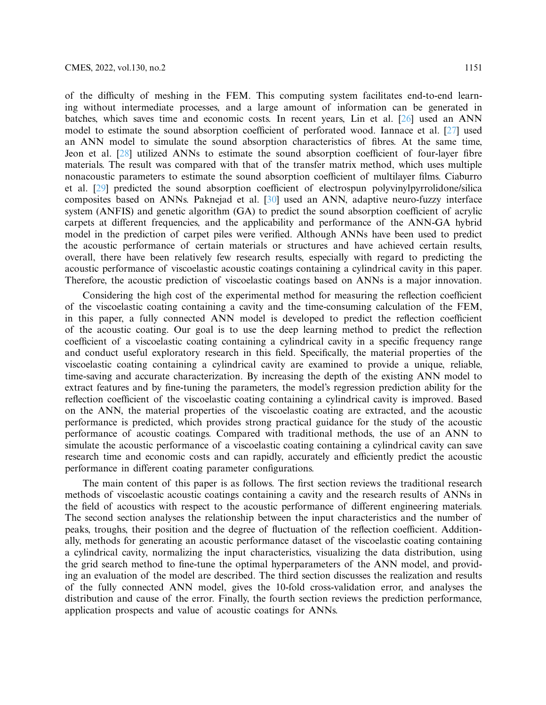of the difficulty of meshing in the FEM. This computing system facilitates end-to-end learning without intermediate processes, and a large amount of information can be generated in batches, which saves time and economic costs. In recent years, Lin et al. [\[26](#page-20-2)] used an ANN model to estimate the sound absorption coefficient of perforated wood. Iannace et al. [\[27](#page-20-3)] used an ANN model to simulate the sound absorption characteristics of fibres. At the same time, Jeon et al. [\[28\]](#page-20-4) utilized ANNs to estimate the sound absorption coefficient of four-layer fibre materials. The result was compared with that of the transfer matrix method, which uses multiple nonacoustic parameters to estimate the sound absorption coefficient of multilayer films. Ciaburro et al. [\[29\]](#page-20-5) predicted the sound absorption coefficient of electrospun polyvinylpyrrolidone/silica composites based on ANNs. Paknejad et al. [\[30](#page-20-6)] used an ANN, adaptive neuro-fuzzy interface system (ANFIS) and genetic algorithm (GA) to predict the sound absorption coefficient of acrylic carpets at different frequencies, and the applicability and performance of the ANN-GA hybrid model in the prediction of carpet piles were verified. Although ANNs have been used to predict the acoustic performance of certain materials or structures and have achieved certain results, overall, there have been relatively few research results, especially with regard to predicting the acoustic performance of viscoelastic acoustic coatings containing a cylindrical cavity in this paper. Therefore, the acoustic prediction of viscoelastic coatings based on ANNs is a major innovation.

Considering the high cost of the experimental method for measuring the reflection coefficient of the viscoelastic coating containing a cavity and the time-consuming calculation of the FEM, in this paper, a fully connected ANN model is developed to predict the reflection coefficient of the acoustic coating. Our goal is to use the deep learning method to predict the reflection coefficient of a viscoelastic coating containing a cylindrical cavity in a specific frequency range and conduct useful exploratory research in this field. Specifically, the material properties of the viscoelastic coating containing a cylindrical cavity are examined to provide a unique, reliable, time-saving and accurate characterization. By increasing the depth of the existing ANN model to extract features and by fine-tuning the parameters, the model's regression prediction ability for the reflection coefficient of the viscoelastic coating containing a cylindrical cavity is improved. Based on the ANN, the material properties of the viscoelastic coating are extracted, and the acoustic performance is predicted, which provides strong practical guidance for the study of the acoustic performance of acoustic coatings. Compared with traditional methods, the use of an ANN to simulate the acoustic performance of a viscoelastic coating containing a cylindrical cavity can save research time and economic costs and can rapidly, accurately and efficiently predict the acoustic performance in different coating parameter configurations.

The main content of this paper is as follows. The first section reviews the traditional research methods of viscoelastic acoustic coatings containing a cavity and the research results of ANNs in the field of acoustics with respect to the acoustic performance of different engineering materials. The second section analyses the relationship between the input characteristics and the number of peaks, troughs, their position and the degree of fluctuation of the reflection coefficient. Additionally, methods for generating an acoustic performance dataset of the viscoelastic coating containing a cylindrical cavity, normalizing the input characteristics, visualizing the data distribution, using the grid search method to fine-tune the optimal hyperparameters of the ANN model, and providing an evaluation of the model are described. The third section discusses the realization and results of the fully connected ANN model, gives the 10-fold cross-validation error, and analyses the distribution and cause of the error. Finally, the fourth section reviews the prediction performance, application prospects and value of acoustic coatings for ANNs.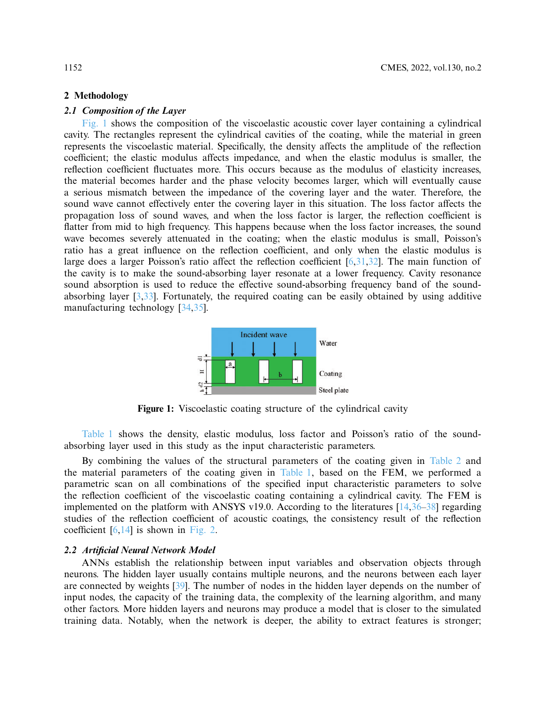#### **2 Methodology**

# *2.1 Composition of the Layer*

[Fig. 1](#page-3-0) shows the composition of the viscoelastic acoustic cover layer containing a cylindrical cavity. The rectangles represent the cylindrical cavities of the coating, while the material in green represents the viscoelastic material. Specifically, the density affects the amplitude of the reflection coefficient; the elastic modulus affects impedance, and when the elastic modulus is smaller, the reflection coefficient fluctuates more. This occurs because as the modulus of elasticity increases, the material becomes harder and the phase velocity becomes larger, which will eventually cause a serious mismatch between the impedance of the covering layer and the water. Therefore, the sound wave cannot effectively enter the covering layer in this situation. The loss factor affects the propagation loss of sound waves, and when the loss factor is larger, the reflection coefficient is flatter from mid to high frequency. This happens because when the loss factor increases, the sound wave becomes severely attenuated in the coating; when the elastic modulus is small, Poisson's ratio has a great influence on the reflection coefficient, and only when the elastic modulus is large does a larger Poisson's ratio affect the reflection coefficient [\[6](#page-19-1)[,31](#page-20-7)[,32](#page-20-8)]. The main function of the cavity is to make the sound-absorbing layer resonate at a lower frequency. Cavity resonance sound absorption is used to reduce the effective sound-absorbing frequency band of the soundabsorbing layer [\[3](#page-19-14)[,33](#page-20-9)]. Fortunately, the required coating can be easily obtained by using additive manufacturing technology [\[34](#page-20-10)[,35](#page-20-11)].

<span id="page-3-0"></span>

**Figure 1:** Viscoelastic coating structure of the cylindrical cavity

[Table 1](#page-4-0) shows the density, elastic modulus, loss factor and Poisson's ratio of the soundabsorbing layer used in this study as the input characteristic parameters.

By combining the values of the structural parameters of the coating given in [Table 2](#page-4-1) and the material parameters of the coating given in [Table 1,](#page-4-0) based on the FEM, we performed a parametric scan on all combinations of the specified input characteristic parameters to solve the reflection coefficient of the viscoelastic coating containing a cylindrical cavity. The FEM is implemented on the platform with ANSYS v19.0. According to the literatures  $[14,36-38]$  $[14,36-38]$  $[14,36-38]$  regarding studies of the reflection coefficient of acoustic coatings, the consistency result of the reflection coefficient  $[6,14]$  $[6,14]$  is shown in [Fig. 2.](#page-4-2)

#### *2.2 Artificial Neural Network Model*

ANNs establish the relationship between input variables and observation objects through neurons. The hidden layer usually contains multiple neurons, and the neurons between each layer are connected by weights [\[39\]](#page-20-14). The number of nodes in the hidden layer depends on the number of input nodes, the capacity of the training data, the complexity of the learning algorithm, and many other factors. More hidden layers and neurons may produce a model that is closer to the simulated training data. Notably, when the network is deeper, the ability to extract features is stronger;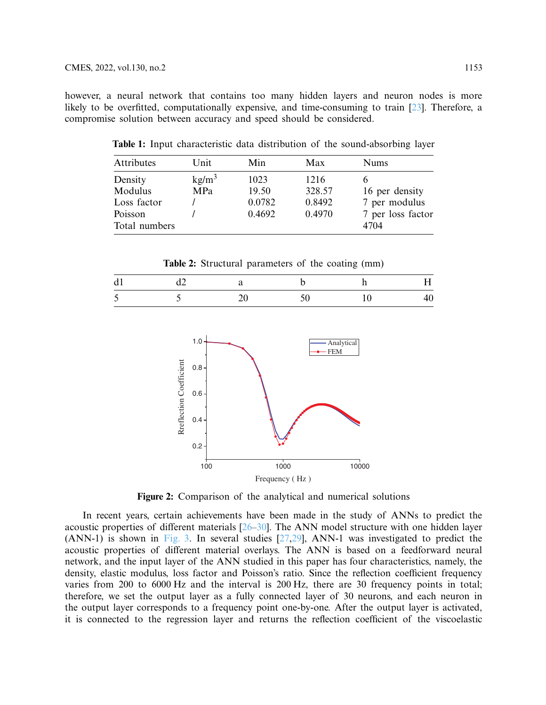<span id="page-4-0"></span>however, a neural network that contains too many hidden layers and neuron nodes is more likely to be overfitted, computationally expensive, and time-consuming to train [\[23\]](#page-20-0). Therefore, a compromise solution between accuracy and speed should be considered.

**Table 1:** Input characteristic data distribution of the sound-absorbing layer

| Attributes    | Unit              | Min    | Max    | <b>Nums</b>       |
|---------------|-------------------|--------|--------|-------------------|
| Density       | kg/m <sup>3</sup> | 1023   | 1216   |                   |
| Modulus       | MPa               | 19.50  | 328.57 | 16 per density    |
| Loss factor   |                   | 0.0782 | 0.8492 | 7 per modulus     |
| Poisson       |                   | 0.4692 | 0.4970 | 7 per loss factor |
| Total numbers |                   |        |        | 4704              |

**Table 2:** Structural parameters of the coating (mm)

<span id="page-4-1"></span>

| <sub>d</sub>                   | u∠ |  |  |
|--------------------------------|----|--|--|
| -4<br>$\overline{\phantom{0}}$ |    |  |  |



<span id="page-4-2"></span>**Figure 2:** Comparison of the analytical and numerical solutions

In recent years, certain achievements have been made in the study of ANNs to predict the acoustic properties of different materials  $[26–30]$  $[26–30]$ . The ANN model structure with one hidden layer (ANN-1) is shown in [Fig. 3.](#page-5-0) In several studies  $[27,29]$  $[27,29]$ , ANN-1 was investigated to predict the acoustic properties of different material overlays. The ANN is based on a feedforward neural network, and the input layer of the ANN studied in this paper has four characteristics, namely, the density, elastic modulus, loss factor and Poisson's ratio. Since the reflection coefficient frequency varies from 200 to 6000 Hz and the interval is 200 Hz, there are 30 frequency points in total; therefore, we set the output layer as a fully connected layer of 30 neurons, and each neuron in the output layer corresponds to a frequency point one-by-one. After the output layer is activated, it is connected to the regression layer and returns the reflection coefficient of the viscoelastic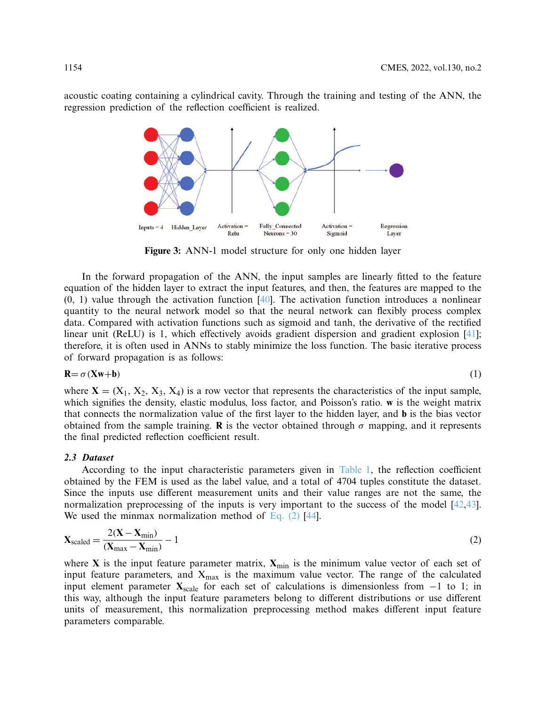acoustic coating containing a cylindrical cavity. Through the training and testing of the ANN, the regression prediction of the reflection coefficient is realized.



**Figure 3:** ANN-1 model structure for only one hidden layer

In the forward propagation of the ANN, the input samples are linearly fitted to the feature equation of the hidden layer to extract the input features, and then, the features are mapped to the  $(0, 1)$  value through the activation function  $[40]$ . The activation function introduces a nonlinear quantity to the neural network model so that the neural network can flexibly process complex data. Compared with activation functions such as sigmoid and tanh, the derivative of the rectified linear unit (ReLU) is 1, which effectively avoids gradient dispersion and gradient explosion [\[41](#page-20-16)]; therefore, it is often used in ANNs to stably minimize the loss function. The basic iterative process of forward propagation is as follows:

 $\mathbf{R} = \sigma(\mathbf{X}\mathbf{w}+\mathbf{b})$  (1)

<span id="page-5-1"></span><span id="page-5-0"></span>

where  $X = (X_1, X_2, X_3, X_4)$  is a row vector that represents the characteristics of the input sample, which signifies the density, elastic modulus, loss factor, and Poisson's ratio. **w** is the weight matrix that connects the normalization value of the first layer to the hidden layer, and **b** is the bias vector obtained from the sample training. **R** is the vector obtained through  $\sigma$  mapping, and it represents the final predicted reflection coefficient result.

## *2.3 Dataset*

According to the input characteristic parameters given in [Table 1,](#page-4-0) the reflection coefficient obtained by the FEM is used as the label value, and a total of 4704 tuples constitute the dataset. Since the inputs use different measurement units and their value ranges are not the same, the normalization preprocessing of the inputs is very important to the success of the model [\[42](#page-20-17)[,43](#page-20-18)]. We used the minmax normalization method of Eq.  $(2)$  [\[44\]](#page-21-0).

$$
\mathbf{X}_{\text{scaled}} = \frac{2(\mathbf{X} - \mathbf{X}_{\text{min}})}{(\mathbf{X}_{\text{max}} - \mathbf{X}_{\text{min}})} - 1
$$
(2)

where **X** is the input feature parameter matrix,  $X_{\text{min}}$  is the minimum value vector of each set of input feature parameters, and  $X_{max}$  is the maximum value vector. The range of the calculated input element parameter  $X_{scale}$  for each set of calculations is dimensionless from  $-1$  to 1; in this way, although the input feature parameters belong to different distributions or use different units of measurement, this normalization preprocessing method makes different input feature parameters comparable.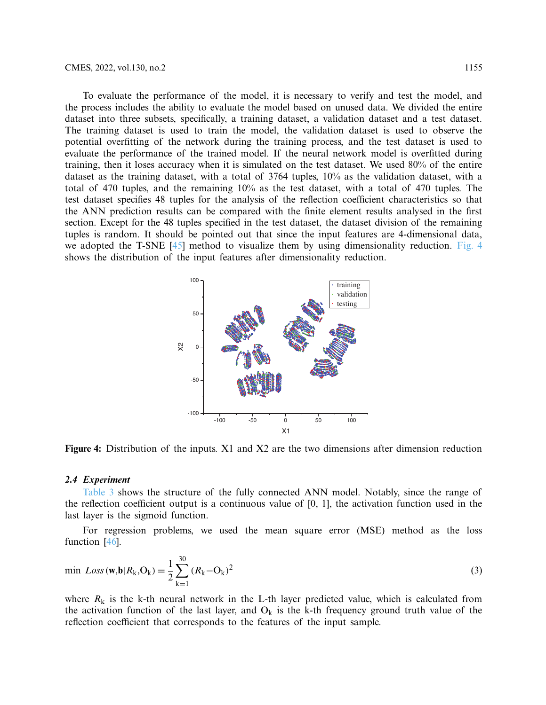To evaluate the performance of the model, it is necessary to verify and test the model, and the process includes the ability to evaluate the model based on unused data. We divided the entire dataset into three subsets, specifically, a training dataset, a validation dataset and a test dataset. The training dataset is used to train the model, the validation dataset is used to observe the potential overfitting of the network during the training process, and the test dataset is used to evaluate the performance of the trained model. If the neural network model is overfitted during training, then it loses accuracy when it is simulated on the test dataset. We used 80% of the entire dataset as the training dataset, with a total of 3764 tuples, 10% as the validation dataset, with a total of 470 tuples, and the remaining 10% as the test dataset, with a total of 470 tuples. The test dataset specifies 48 tuples for the analysis of the reflection coefficient characteristics so that the ANN prediction results can be compared with the finite element results analysed in the first section. Except for the 48 tuples specified in the test dataset, the dataset division of the remaining tuples is random. It should be pointed out that since the input features are 4-dimensional data, we adopted the T-SNE [\[45](#page-21-1)] method to visualize them by using dimensionality reduction. [Fig. 4](#page-6-0) shows the distribution of the input features after dimensionality reduction.

<span id="page-6-0"></span>

**Figure 4:** Distribution of the inputs. X1 and X2 are the two dimensions after dimension reduction

#### *2.4 Experiment*

[Table 3](#page-7-0) shows the structure of the fully connected ANN model. Notably, since the range of the reflection coefficient output is a continuous value of  $[0, 1]$ , the activation function used in the last layer is the sigmoid function.

For regression problems, we used the mean square error (MSE) method as the loss function [\[46\]](#page-21-2).

$$
\min \, Loss(\mathbf{w}, \mathbf{b} | R_{k}, O_{k}) = \frac{1}{2} \sum_{k=1}^{30} (R_{k} - O_{k})^{2} \tag{3}
$$

where  $R_k$  is the k-th neural network in the L-th layer predicted value, which is calculated from the activation function of the last layer, and  $O_k$  is the k-th frequency ground truth value of the reflection coefficient that corresponds to the features of the input sample.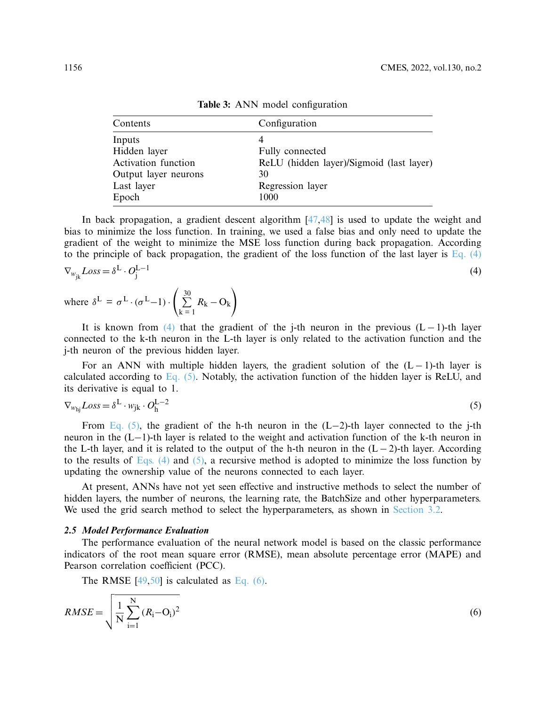<span id="page-7-0"></span>

| Configuration                            |  |
|------------------------------------------|--|
| 4                                        |  |
| Fully connected                          |  |
| ReLU (hidden layer)/Sigmoid (last layer) |  |
| 30                                       |  |
| Regression layer                         |  |
| 1000                                     |  |
|                                          |  |

<span id="page-7-1"></span>**Table 3:** ANN model configuration

In back propagation, a gradient descent algorithm [\[47](#page-21-3)[,48\]](#page-21-4) is used to update the weight and bias to minimize the loss function. In training, we used a false bias and only need to update the gradient of the weight to minimize the MSE loss function during back propagation. According to the principle of back propagation, the gradient of the loss function of the last layer is Eq.  $(4)$ 

$$
\nabla_{w_{jk}} Loss = \delta^L \cdot O_j^{L-1}
$$
\n(4)

where 
$$
\delta^{\text{L}} = \sigma^{\text{L}} \cdot (\sigma^{\text{L}} - 1) \cdot \left( \sum_{k=1}^{30} R_k - O_k \right)
$$

It is known from [\(4\)](#page-7-1) that the gradient of the j-th neuron in the previous  $(L - 1)$ -th layer connected to the k-th neuron in the L-th layer is only related to the activation function and the j-th neuron of the previous hidden layer.

For an ANN with multiple hidden layers, the gradient solution of the  $(L-1)$ -th layer is calculated according to  $Eq. (5)$ . Notably, the activation function of the hidden layer is ReLU, and its derivative is equal to 1.

<span id="page-7-2"></span>
$$
\nabla_{w_{\rm hj}} Loss = \delta^{\rm L} \cdot w_{\rm jk} \cdot O_{\rm h}^{\rm L-2} \tag{5}
$$

From [Eq. \(5\),](#page-7-2) the gradient of the h-th neuron in the (L−2)-th layer connected to the j-th neuron in the (L−1)-th layer is related to the weight and activation function of the k-th neuron in the L-th layer, and it is related to the output of the h-th neuron in the  $(L-2)$ -th layer. According to the results of [Eqs. \(4\)](#page-7-1) and  $(5)$ , a recursive method is adopted to minimize the loss function by updating the ownership value of the neurons connected to each layer.

At present, ANNs have not yet seen effective and instructive methods to select the number of hidden layers, the number of neurons, the learning rate, the BatchSize and other hyperparameters. We used the grid search method to select the hyperparameters, as shown in [Section 3.2.](#page-11-0)

#### *2.5 Model Performance Evaluation*

The performance evaluation of the neural network model is based on the classic performance indicators of the root mean square error (RMSE), mean absolute percentage error (MAPE) and Pearson correlation coefficient (PCC).

<span id="page-7-3"></span>The RMSE  $[49,50]$  $[49,50]$  $[49,50]$  is calculated as [Eq. \(6\).](#page-7-3)

$$
RMSE = \sqrt{\frac{1}{N} \sum_{i=1}^{N} (R_i - O_i)^2}
$$
 (6)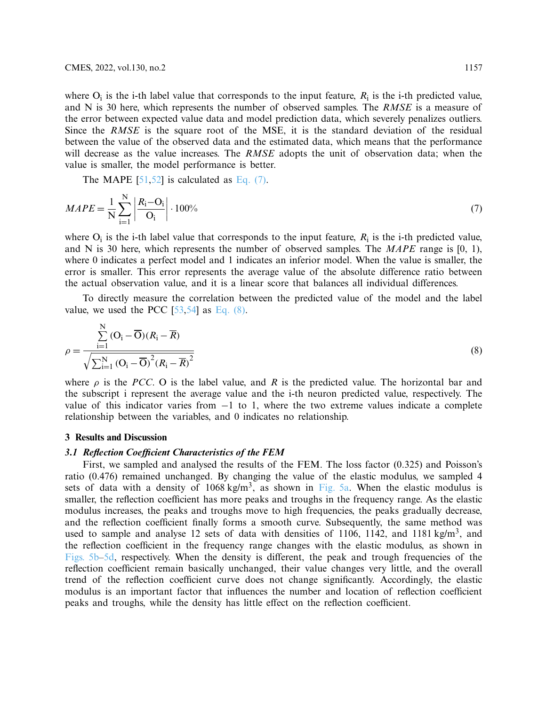where  $O_i$  is the i-th label value that corresponds to the input feature,  $R_i$  is the i-th predicted value, and N is 30 here, which represents the number of observed samples. The *RMSE* is a measure of the error between expected value data and model prediction data, which severely penalizes outliers. Since the *RMSE* is the square root of the MSE, it is the standard deviation of the residual between the value of the observed data and the estimated data, which means that the performance will decrease as the value increases. The *RMSE* adopts the unit of observation data; when the value is smaller, the model performance is better.

<span id="page-8-0"></span>The MAPE  $[51,52]$  $[51,52]$  is calculated as [Eq. \(7\).](#page-8-0)

$$
MAPE = \frac{1}{N} \sum_{i=1}^{N} \left| \frac{R_i - O_i}{O_i} \right| \cdot 100\% \tag{7}
$$

where  $O_i$  is the i-th label value that corresponds to the input feature,  $R_i$  is the i-th predicted value, and N is 30 here, which represents the number of observed samples. The *MAPE* range is [0, 1), where 0 indicates a perfect model and 1 indicates an inferior model. When the value is smaller, the error is smaller. This error represents the average value of the absolute difference ratio between the actual observation value, and it is a linear score that balances all individual differences.

To directly measure the correlation between the predicted value of the model and the label value, we used the PCC  $[53,54]$  $[53,54]$  $[53,54]$  as Eq.  $(8)$ .

<span id="page-8-1"></span>
$$
\rho = \frac{\sum_{i=1}^{N} (O_i - \overline{O})(R_i - \overline{R})}{\sqrt{\sum_{i=1}^{N} (O_i - \overline{O})^2 (R_i - \overline{R})^2}}
$$
(8)

where  $\rho$  is the *PCC*. O is the label value, and *R* is the predicted value. The horizontal bar and the subscript i represent the average value and the i-th neuron predicted value, respectively. The value of this indicator varies from  $-1$  to 1, where the two extreme values indicate a complete relationship between the variables, and 0 indicates no relationship.

#### **3 Results and Discussion**

# *3.1 Reflection Coefficient Characteristics of the FEM*

First, we sampled and analysed the results of the FEM. The loss factor (0.325) and Poisson's ratio (0.476) remained unchanged. By changing the value of the elastic modulus, we sampled 4 sets of data with a density of  $1068 \text{ kg/m}^3$ , as shown in [Fig. 5a.](#page-9-0) When the elastic modulus is smaller, the reflection coefficient has more peaks and troughs in the frequency range. As the elastic modulus increases, the peaks and troughs move to high frequencies, the peaks gradually decrease, and the reflection coefficient finally forms a smooth curve. Subsequently, the same method was used to sample and analyse 12 sets of data with densities of 1106, 1142, and 1181 kg/m<sup>3</sup>, and the reflection coefficient in the frequency range changes with the elastic modulus, as shown in [Figs. 5b–5d,](#page-9-0) respectively. When the density is different, the peak and trough frequencies of the reflection coefficient remain basically unchanged, their value changes very little, and the overall trend of the reflection coefficient curve does not change significantly. Accordingly, the elastic modulus is an important factor that influences the number and location of reflection coefficient peaks and troughs, while the density has little effect on the reflection coefficient.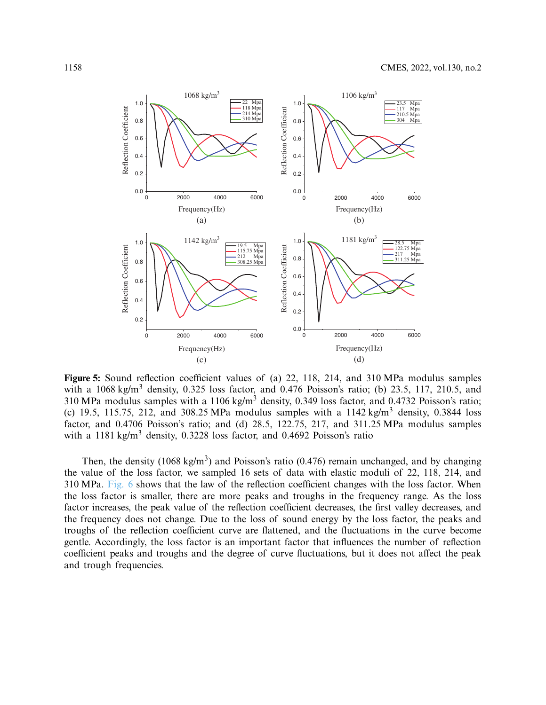

<span id="page-9-0"></span>**Figure 5:** Sound reflection coefficient values of (a) 22, 118, 214, and 310 MPa modulus samples with a  $1068 \text{ kg/m}^3$  density, 0.325 loss factor, and 0.476 Poisson's ratio; (b) 23.5, 117, 210.5, and 310 MPa modulus samples with a  $1106$  kg/m<sup>3</sup> density, 0.349 loss factor, and 0.4732 Poisson's ratio; (c) 19.5, 115.75, 212, and 308.25 MPa modulus samples with a  $1142 \text{ kg/m}^3$  density, 0.3844 loss factor, and 0.4706 Poisson's ratio; and (d) 28.5, 122.75, 217, and 311.25 MPa modulus samples with a 1181 kg/m<sup>3</sup> density, 0.3228 loss factor, and 0.4692 Poisson's ratio

Then, the density (1068 kg/m<sup>3</sup>) and Poisson's ratio (0.476) remain unchanged, and by changing the value of the loss factor, we sampled 16 sets of data with elastic moduli of 22, 118, 214, and 310 MPa. [Fig. 6](#page-10-0) shows that the law of the reflection coefficient changes with the loss factor. When the loss factor is smaller, there are more peaks and troughs in the frequency range. As the loss factor increases, the peak value of the reflection coefficient decreases, the first valley decreases, and the frequency does not change. Due to the loss of sound energy by the loss factor, the peaks and troughs of the reflection coefficient curve are flattened, and the fluctuations in the curve become gentle. Accordingly, the loss factor is an important factor that influences the number of reflection coefficient peaks and troughs and the degree of curve fluctuations, but it does not affect the peak and trough frequencies.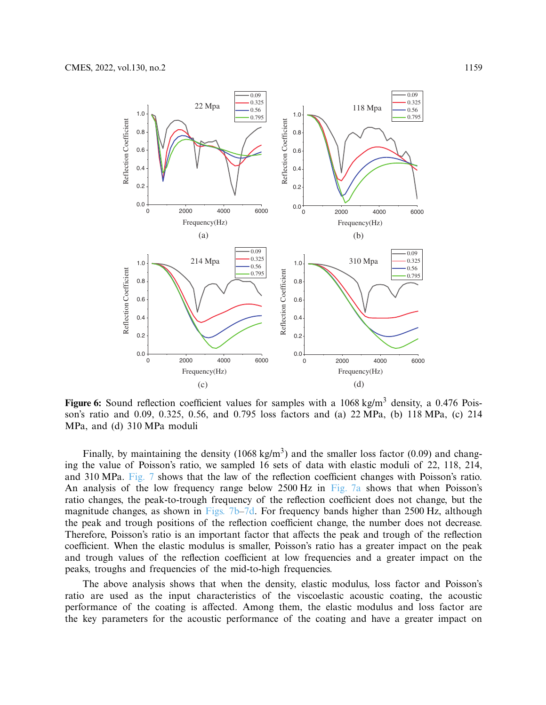

<span id="page-10-0"></span>**Figure 6:** Sound reflection coefficient values for samples with a 1068 kg/m<sup>3</sup> density, a 0.476 Poisson's ratio and 0.09, 0.325, 0.56, and 0.795 loss factors and (a) 22 MPa, (b) 118 MPa, (c) 214 MPa, and (d) 310 MPa moduli

Finally, by maintaining the density (1068 kg/m<sup>3</sup>) and the smaller loss factor (0.09) and changing the value of Poisson's ratio, we sampled 16 sets of data with elastic moduli of 22, 118, 214, and 310 MPa. [Fig. 7](#page-11-1) shows that the law of the reflection coefficient changes with Poisson's ratio. An analysis of the low frequency range below 2500 Hz in [Fig. 7a](#page-11-1) shows that when Poisson's ratio changes, the peak-to-trough frequency of the reflection coefficient does not change, but the magnitude changes, as shown in Figs.  $7b-7d$ . For frequency bands higher than 2500 Hz, although the peak and trough positions of the reflection coefficient change, the number does not decrease. Therefore, Poisson's ratio is an important factor that affects the peak and trough of the reflection coefficient. When the elastic modulus is smaller, Poisson's ratio has a greater impact on the peak and trough values of the reflection coefficient at low frequencies and a greater impact on the peaks, troughs and frequencies of the mid-to-high frequencies.

The above analysis shows that when the density, elastic modulus, loss factor and Poisson's ratio are used as the input characteristics of the viscoelastic acoustic coating, the acoustic performance of the coating is affected. Among them, the elastic modulus and loss factor are the key parameters for the acoustic performance of the coating and have a greater impact on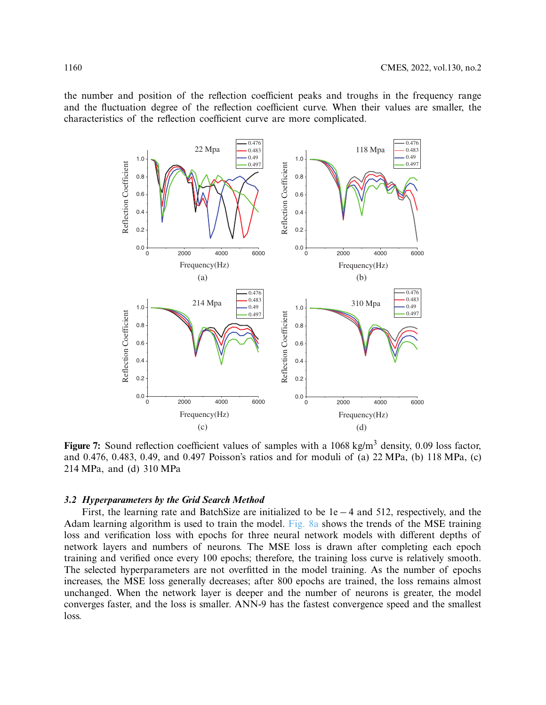the number and position of the reflection coefficient peaks and troughs in the frequency range and the fluctuation degree of the reflection coefficient curve. When their values are smaller, the characteristics of the reflection coefficient curve are more complicated.



<span id="page-11-1"></span>**Figure 7:** Sound reflection coefficient values of samples with a 1068 kg/m<sup>3</sup> density, 0.09 loss factor, and 0.476, 0.483, 0.49, and 0.497 Poisson's ratios and for moduli of (a) 22 MPa, (b) 118 MPa, (c) 214 MPa, and (d) 310 MPa

#### <span id="page-11-0"></span>*3.2 Hyperparameters by the Grid Search Method*

First, the learning rate and BatchSize are initialized to be 1e − 4 and 512, respectively, and the Adam learning algorithm is used to train the model. [Fig. 8a](#page-12-0) shows the trends of the MSE training loss and verification loss with epochs for three neural network models with different depths of network layers and numbers of neurons. The MSE loss is drawn after completing each epoch training and verified once every 100 epochs; therefore, the training loss curve is relatively smooth. The selected hyperparameters are not overfitted in the model training. As the number of epochs increases, the MSE loss generally decreases; after 800 epochs are trained, the loss remains almost unchanged. When the network layer is deeper and the number of neurons is greater, the model converges faster, and the loss is smaller. ANN-9 has the fastest convergence speed and the smallest loss.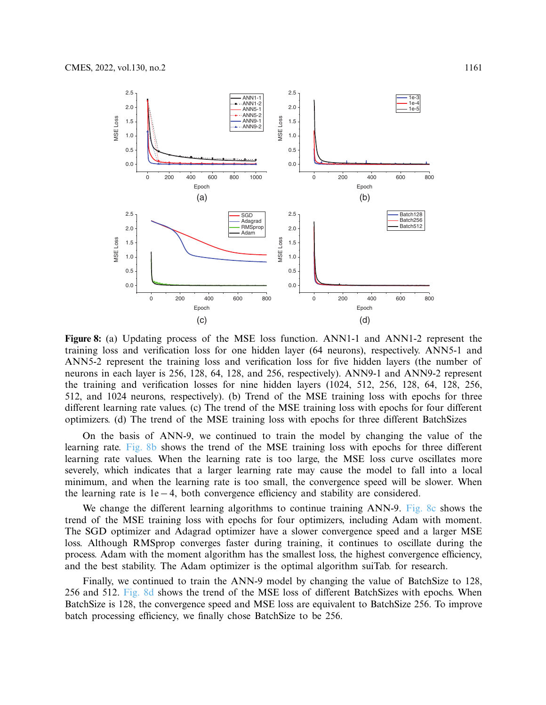

<span id="page-12-0"></span>**Figure 8:** (a) Updating process of the MSE loss function. ANN1-1 and ANN1-2 represent the training loss and verification loss for one hidden layer (64 neurons), respectively. ANN5-1 and ANN5-2 represent the training loss and verification loss for five hidden layers (the number of neurons in each layer is 256, 128, 64, 128, and 256, respectively). ANN9-1 and ANN9-2 represent the training and verification losses for nine hidden layers (1024, 512, 256, 128, 64, 128, 256, 512, and 1024 neurons, respectively). (b) Trend of the MSE training loss with epochs for three different learning rate values. (c) The trend of the MSE training loss with epochs for four different optimizers. (d) The trend of the MSE training loss with epochs for three different BatchSizes

On the basis of ANN-9, we continued to train the model by changing the value of the learning rate. [Fig. 8b](#page-12-0) shows the trend of the MSE training loss with epochs for three different learning rate values. When the learning rate is too large, the MSE loss curve oscillates more severely, which indicates that a larger learning rate may cause the model to fall into a local minimum, and when the learning rate is too small, the convergence speed will be slower. When the learning rate is 1e− 4, both convergence efficiency and stability are considered.

We change the different learning algorithms to continue training ANN-9. [Fig. 8c](#page-12-0) shows the trend of the MSE training loss with epochs for four optimizers, including Adam with moment. The SGD optimizer and Adagrad optimizer have a slower convergence speed and a larger MSE loss. Although RMSprop converges faster during training, it continues to oscillate during the process. Adam with the moment algorithm has the smallest loss, the highest convergence efficiency, and the best stability. The Adam optimizer is the optimal algorithm suiTab. for research.

Finally, we continued to train the ANN-9 model by changing the value of BatchSize to 128, 256 and 512. [Fig. 8d](#page-12-0) shows the trend of the MSE loss of different BatchSizes with epochs. When BatchSize is 128, the convergence speed and MSE loss are equivalent to BatchSize 256. To improve batch processing efficiency, we finally chose BatchSize to be 256.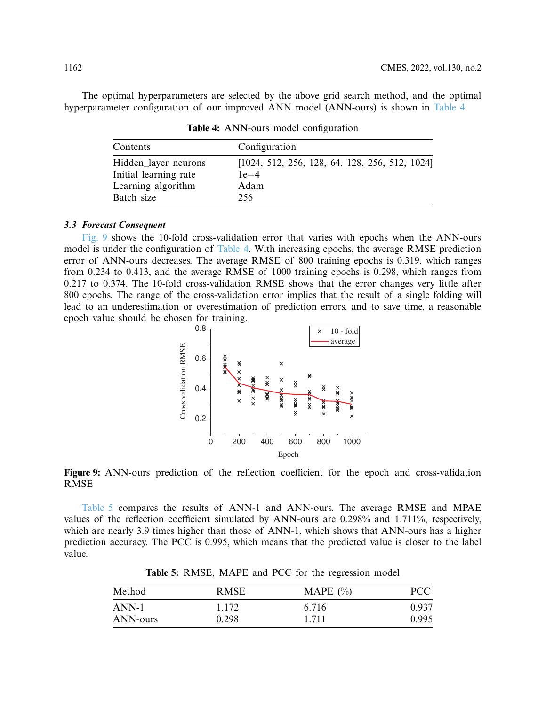<span id="page-13-0"></span>The optimal hyperparameters are selected by the above grid search method, and the optimal hyperparameter configuration of our improved ANN model (ANN-ours) is shown in [Table 4.](#page-13-0)

| Contents              | Configuration                                  |  |  |  |
|-----------------------|------------------------------------------------|--|--|--|
| Hidden_layer neurons  | [1024, 512, 256, 128, 64, 128, 256, 512, 1024] |  |  |  |
| Initial learning rate | $1e-4$                                         |  |  |  |
| Learning algorithm    | Adam                                           |  |  |  |
| Batch size            | 256                                            |  |  |  |

**Table 4:** ANN-ours model configuration

# *3.3 Forecast Consequent*

[Fig. 9](#page-13-1) shows the 10-fold cross-validation error that varies with epochs when the ANN-ours model is under the configuration of [Table 4.](#page-13-0) With increasing epochs, the average RMSE prediction error of ANN-ours decreases. The average RMSE of 800 training epochs is 0.319, which ranges from 0.234 to 0.413, and the average RMSE of 1000 training epochs is 0.298, which ranges from 0.217 to 0.374. The 10-fold cross-validation RMSE shows that the error changes very little after 800 epochs. The range of the cross-validation error implies that the result of a single folding will lead to an underestimation or overestimation of prediction errors, and to save time, a reasonable epoch value should be chosen for training.

<span id="page-13-1"></span>



[Table 5](#page-13-2) compares the results of ANN-1 and ANN-ours. The average RMSE and MPAE values of the reflection coefficient simulated by ANN-ours are 0.298% and 1.711%, respectively, which are nearly 3.9 times higher than those of ANN-1, which shows that ANN-ours has a higher prediction accuracy. The PCC is 0.995, which means that the predicted value is closer to the label value.

<span id="page-13-2"></span>

| Method   | <b>RMSE</b> | MAPE $(\% )$ | <b>PCC</b> |  |
|----------|-------------|--------------|------------|--|
| ANN-1    | 1.172       | 6.716        | 0.937      |  |
| ANN-ours | 0.298       | 1.711        | 0.995      |  |

**Table 5:** RMSE, MAPE and PCC for the regression model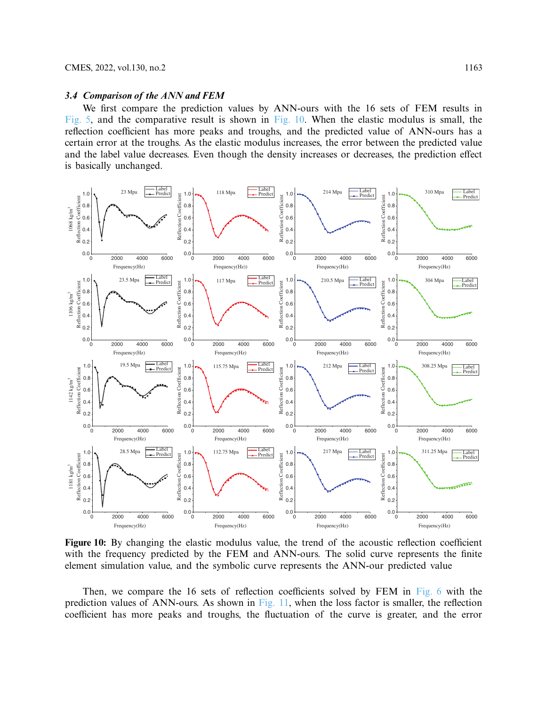#### *3.4 Comparison of the ANN and FEM*

We first compare the prediction values by ANN-ours with the 16 sets of FEM results in [Fig. 5,](#page-9-0) and the comparative result is shown in [Fig. 10.](#page-14-0) When the elastic modulus is small, the reflection coefficient has more peaks and troughs, and the predicted value of ANN-ours has a certain error at the troughs. As the elastic modulus increases, the error between the predicted value and the label value decreases. Even though the density increases or decreases, the prediction effect is basically unchanged.



<span id="page-14-0"></span>**Figure 10:** By changing the elastic modulus value, the trend of the acoustic reflection coefficient with the frequency predicted by the FEM and ANN-ours. The solid curve represents the finite element simulation value, and the symbolic curve represents the ANN-our predicted value

Then, we compare the 16 sets of reflection coefficients solved by FEM in [Fig. 6](#page-10-0) with the prediction values of ANN-ours. As shown in [Fig. 11,](#page-15-0) when the loss factor is smaller, the reflection coefficient has more peaks and troughs, the fluctuation of the curve is greater, and the error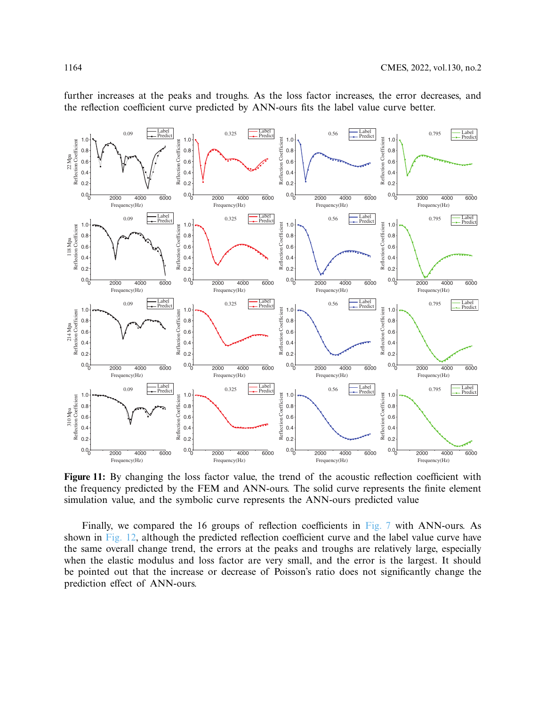

further increases at the peaks and troughs. As the loss factor increases, the error decreases, and the reflection coefficient curve predicted by ANN-ours fits the label value curve better.

<span id="page-15-0"></span>**Figure 11:** By changing the loss factor value, the trend of the acoustic reflection coefficient with the frequency predicted by the FEM and ANN-ours. The solid curve represents the finite element simulation value, and the symbolic curve represents the ANN-ours predicted value

Finally, we compared the 16 groups of reflection coefficients in [Fig. 7](#page-11-1) with ANN-ours. As shown in [Fig. 12,](#page-16-0) although the predicted reflection coefficient curve and the label value curve have the same overall change trend, the errors at the peaks and troughs are relatively large, especially when the elastic modulus and loss factor are very small, and the error is the largest. It should be pointed out that the increase or decrease of Poisson's ratio does not significantly change the prediction effect of ANN-ours.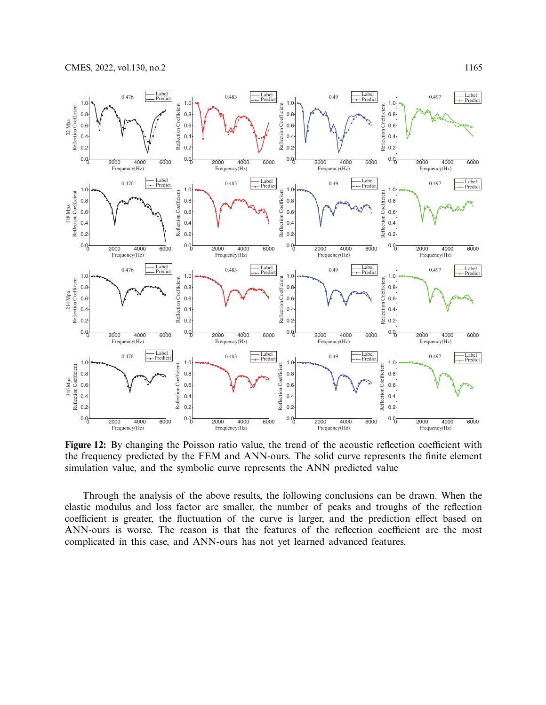

<span id="page-16-0"></span>**Figure 12:** By changing the Poisson ratio value, the trend of the acoustic reflection coefficient with the frequency predicted by the FEM and ANN-ours. The solid curve represents the finite element simulation value, and the symbolic curve represents the ANN predicted value

Through the analysis of the above results, the following conclusions can be drawn. When the elastic modulus and loss factor are smaller, the number of peaks and troughs of the reflection coefficient is greater, the fluctuation of the curve is larger, and the prediction effect based on ANN-ours is worse. The reason is that the features of the reflection coefficient are the most complicated in this case, and ANN-ours has not yet learned advanced features.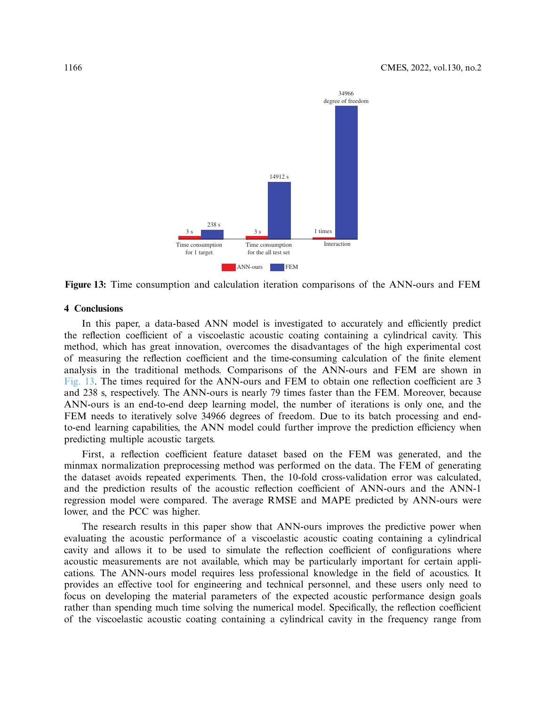<span id="page-17-0"></span>

**Figure 13:** Time consumption and calculation iteration comparisons of the ANN-ours and FEM

# **4 Conclusions**

In this paper, a data-based ANN model is investigated to accurately and efficiently predict the reflection coefficient of a viscoelastic acoustic coating containing a cylindrical cavity. This method, which has great innovation, overcomes the disadvantages of the high experimental cost of measuring the reflection coefficient and the time-consuming calculation of the finite element analysis in the traditional methods. Comparisons of the ANN-ours and FEM are shown in [Fig. 13.](#page-17-0) The times required for the ANN-ours and FEM to obtain one reflection coefficient are 3 and 238 s, respectively. The ANN-ours is nearly 79 times faster than the FEM. Moreover, because ANN-ours is an end-to-end deep learning model, the number of iterations is only one, and the FEM needs to iteratively solve 34966 degrees of freedom. Due to its batch processing and endto-end learning capabilities, the ANN model could further improve the prediction efficiency when predicting multiple acoustic targets.

First, a reflection coefficient feature dataset based on the FEM was generated, and the minmax normalization preprocessing method was performed on the data. The FEM of generating the dataset avoids repeated experiments. Then, the 10-fold cross-validation error was calculated, and the prediction results of the acoustic reflection coefficient of ANN-ours and the ANN-1 regression model were compared. The average RMSE and MAPE predicted by ANN-ours were lower, and the PCC was higher.

The research results in this paper show that ANN-ours improves the predictive power when evaluating the acoustic performance of a viscoelastic acoustic coating containing a cylindrical cavity and allows it to be used to simulate the reflection coefficient of configurations where acoustic measurements are not available, which may be particularly important for certain applications. The ANN-ours model requires less professional knowledge in the field of acoustics. It provides an effective tool for engineering and technical personnel, and these users only need to focus on developing the material parameters of the expected acoustic performance design goals rather than spending much time solving the numerical model. Specifically, the reflection coefficient of the viscoelastic acoustic coating containing a cylindrical cavity in the frequency range from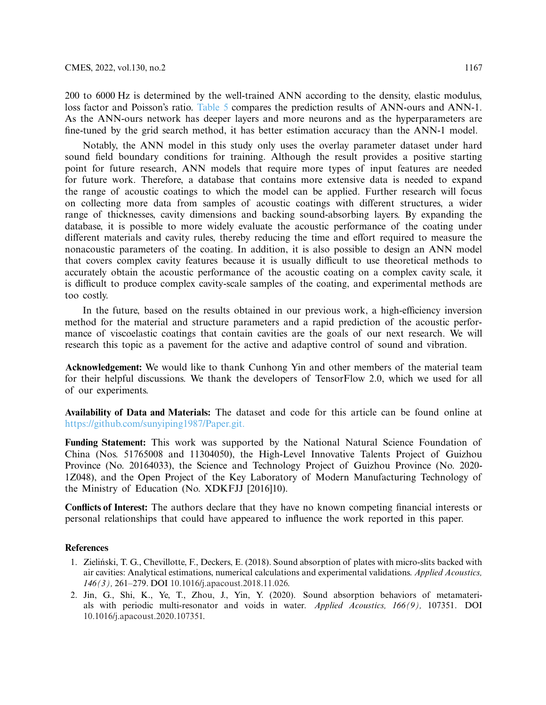200 to 6000 Hz is determined by the well-trained ANN according to the density, elastic modulus, loss factor and Poisson's ratio. [Table 5](#page-13-2) compares the prediction results of ANN-ours and ANN-1. As the ANN-ours network has deeper layers and more neurons and as the hyperparameters are fine-tuned by the grid search method, it has better estimation accuracy than the ANN-1 model.

Notably, the ANN model in this study only uses the overlay parameter dataset under hard sound field boundary conditions for training. Although the result provides a positive starting point for future research, ANN models that require more types of input features are needed for future work. Therefore, a database that contains more extensive data is needed to expand the range of acoustic coatings to which the model can be applied. Further research will focus on collecting more data from samples of acoustic coatings with different structures, a wider range of thicknesses, cavity dimensions and backing sound-absorbing layers. By expanding the database, it is possible to more widely evaluate the acoustic performance of the coating under different materials and cavity rules, thereby reducing the time and effort required to measure the nonacoustic parameters of the coating. In addition, it is also possible to design an ANN model that covers complex cavity features because it is usually difficult to use theoretical methods to accurately obtain the acoustic performance of the acoustic coating on a complex cavity scale, it is difficult to produce complex cavity-scale samples of the coating, and experimental methods are too costly.

In the future, based on the results obtained in our previous work, a high-efficiency inversion method for the material and structure parameters and a rapid prediction of the acoustic performance of viscoelastic coatings that contain cavities are the goals of our next research. We will research this topic as a pavement for the active and adaptive control of sound and vibration.

**Acknowledgement:** We would like to thank Cunhong Yin and other members of the material team for their helpful discussions. We thank the developers of TensorFlow 2.0, which we used for all of our experiments.

**Availability of Data and Materials:** The dataset and code for this article can be found online at [https://github.com/sunyiping1987/Paper.git.](https://github.com/sunyiping1987/Paper.git)

**Funding Statement:** This work was supported by the National Natural Science Foundation of China (Nos. 51765008 and 11304050), the High-Level Innovative Talents Project of Guizhou Province (No. 20164033), the Science and Technology Project of Guizhou Province (No. 2020- 1Z048), and the Open Project of the Key Laboratory of Modern Manufacturing Technology of the Ministry of Education (No. XDKFJJ [2016]10).

**Conflicts of Interest:** The authors declare that they have no known competing financial interests or personal relationships that could have appeared to influence the work reported in this paper.

## **References**

- <span id="page-18-0"></span>1. Zieliński, T. G., Chevillotte, F., Deckers, E. (2018). Sound absorption of plates with micro-slits backed with air cavities: Analytical estimations, numerical calculations and experimental validations. *Applied Acoustics, 146(3),* 261–279. DOI [10.1016/j.apacoust.2018.11.026.](http://dx.doi.org/10.1016/j.apacoust.2018.11.026)
- 2. Jin, G., Shi, K., Ye, T., Zhou, J., Yin, Y. (2020). Sound absorption behaviors of metamaterials with periodic multi-resonator and voids in water. *Applied Acoustics, 166(9),* 107351. DOI [10.1016/j.apacoust.2020.107351.](http://dx.doi.org/10.1016/j.apacoust.2020.107351)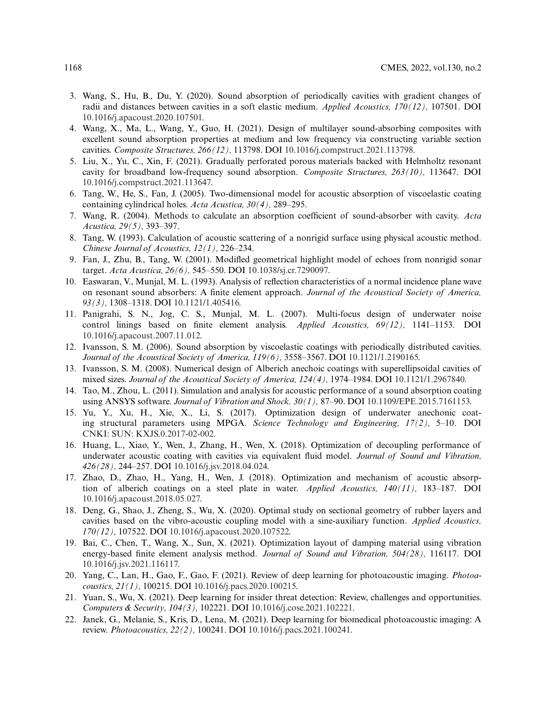- <span id="page-19-14"></span>3. Wang, S., Hu, B., Du, Y. (2020). Sound absorption of periodically cavities with gradient changes of radii and distances between cavities in a soft elastic medium. *Applied Acoustics, 170(12),* 107501. DOI [10.1016/j.apacoust.2020.107501.](http://dx.doi.org/10.1016/j.apacoust.2020.107501)
- 4. Wang, X., Ma, L., Wang, Y., Guo, H. (2021). Design of multilayer sound-absorbing composites with excellent sound absorption properties at medium and low frequency via constructing variable section cavities. *Composite Structures, 266(12),* 113798. DOI [10.1016/j.compstruct.2021.113798.](http://dx.doi.org/10.1016/j.compstruct.2021.113798)
- <span id="page-19-0"></span>5. Liu, X., Yu, C., Xin, F. (2021). Gradually perforated porous materials backed with Helmholtz resonant cavity for broadband low-frequency sound absorption. *Composite Structures, 263(10),* 113647. DOI [10.1016/j.compstruct.2021.113647.](http://dx.doi.org/10.1016/j.compstruct.2021.113647)
- <span id="page-19-1"></span>6. Tang, W., He, S., Fan, J. (2005). Two-dimensional model for acoustic absorption of viscoelastic coating containing cylindrical holes. *Acta Acustica, 30(4),* 289–295.
- <span id="page-19-2"></span>7. Wang, R. (2004). Methods to calculate an absorption coefficient of sound-absorber with cavity. *Acta Acustica, 29(5),* 393–397.
- <span id="page-19-3"></span>8. Tang, W. (1993). Calculation of acoustic scattering of a nonrigid surface using physical acoustic method. *Chinese Journal of Acoustics, 12(1),* 226–234.
- <span id="page-19-4"></span>9. Fan, J., Zhu, B., Tang, W. (2001). Modifled geometrical highlight model of echoes from nonrigid sonar target. *Acta Acustica, 26(6),* 545–550. DOI [10.1038/sj.cr.7290097.](http://dx.doi.org/10.1038/sj.cr.7290097)
- <span id="page-19-5"></span>10. Easwaran, V., Munjal, M. L. (1993). Analysis of reflection characteristics of a normal incidence plane wave on resonant sound absorbers: A finite element approach. *Journal of the Acoustical Society of America, 93(3),* 1308–1318. DOI [10.1121/1.405416.](http://dx.doi.org/10.1121/1.405416)
- <span id="page-19-6"></span>11. Panigrahi, S. N., Jog, C. S., Munjal, M. L. (2007). Multi-focus design of underwater noise control linings based on finite element analysis. *Applied Acoustics, 69(12),* 1141–1153. DOI [10.1016/j.apacoust.2007.11.012.](http://dx.doi.org/10.1016/j.apacoust.2007.11.012)
- <span id="page-19-7"></span>12. Ivansson, S. M. (2006). Sound absorption by viscoelastic coatings with periodically distributed cavities. *Journal of the Acoustical Society of America, 119(6),* 3558–3567. DOI [10.1121/1.2190165.](http://dx.doi.org/10.1121/1.2190165)
- <span id="page-19-8"></span>13. Ivansson, S. M. (2008). Numerical design of Alberich anechoic coatings with superellipsoidal cavities of mixed sizes. *Journal of the Acoustical Society of America, 124(4),* 1974–1984. DOI [10.1121/1.2967840.](http://dx.doi.org/10.1121/1.2967840)
- <span id="page-19-9"></span>14. Tao, M., Zhou, L. (2011). Simulation and analysis for acoustic performance of a sound absorption coating using ANSYS software. *Journal of Vibration and Shock, 30(1),* 87–90. DOI [10.1109/EPE.2015.7161153.](http://dx.doi.org/10.1109/EPE.2015.7161153)
- <span id="page-19-10"></span>15. Yu, Y., Xu, H., Xie, X., Li, S. (2017). Optimization design of underwater anechonic coating structural parameters using MPGA. *Science Technology and Engineering, 17(2),* 5–10. DOI [CNKI: SUN: KXJS.0.2017-02-002.](http://dx.doi.org/CNKI: SUN: KXJS.0.2017-02-002)
- 16. Huang, L., Xiao, Y., Wen, J., Zhang, H., Wen, X. (2018). Optimization of decoupling performance of underwater acoustic coating with cavities via equivalent fluid model. *Journal of Sound and Vibration, 426(28),* 244–257. DOI [10.1016/j.jsv.2018.04.024.](http://dx.doi.org/10.1016/j.jsv.2018.04.024)
- 17. Zhao, D., Zhao, H., Yang, H., Wen, J. (2018). Optimization and mechanism of acoustic absorption of alberich coatings on a steel plate in water. *Applied Acoustics, 140(11),* 183–187. DOI [10.1016/j.apacoust.2018.05.027.](http://dx.doi.org/10.1016/j.apacoust.2018.05.027)
- 18. Deng, G., Shao, J., Zheng, S., Wu, X. (2020). Optimal study on sectional geometry of rubber layers and cavities based on the vibro-acoustic coupling model with a sine-auxiliary function. *Applied Acoustics, 170(12),* 107522. DOI [10.1016/j.apacoust.2020.107522.](http://dx.doi.org/10.1016/j.apacoust.2020.107522)
- <span id="page-19-11"></span>19. Bai, C., Chen, T., Wang, X., Sun, X. (2021). Optimization layout of damping material using vibration energy-based finite element analysis method. *Journal of Sound and Vibration, 504(28),* 116117. DOI [10.1016/j.jsv.2021.116117.](http://dx.doi.org/10.1016/j.jsv.2021.116117)
- <span id="page-19-12"></span>20. Yang, C., Lan, H., Gao, F., Gao, F. (2021). Review of deep learning for photoacoustic imaging. *Photoacoustics, 21(1),* 100215. DOI [10.1016/j.pacs.2020.100215.](http://dx.doi.org/10.1016/j.pacs.2020.100215)
- 21. Yuan, S., Wu, X. (2021). Deep learning for insider threat detection: Review, challenges and opportunities. *Computers & Security, 104(3),* 102221. DOI [10.1016/j.cose.2021.102221.](http://dx.doi.org/10.1016/j.cose.2021.102221)
- <span id="page-19-13"></span>22. Janek, G., Melanie, S., Kris, D., Lena, M. (2021). Deep learning for biomedical photoacoustic imaging: A review. *Photoacoustics, 22(2),* 100241. DOI [10.1016/j.pacs.2021.100241.](http://dx.doi.org/10.1016/j.pacs.2021.100241)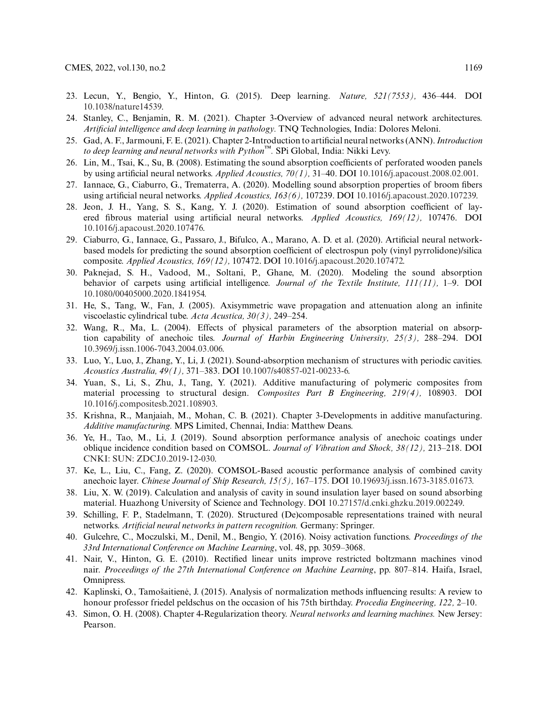- <span id="page-20-0"></span>23. Lecun, Y., Bengio, Y., Hinton, G. (2015). Deep learning. *Nature, 521(7553),* 436–444. DOI [10.1038/nature14539.](http://dx.doi.org/10.1038/nature14539)
- 24. Stanley, C., Benjamin, R. M. (2021). Chapter 3-Overview of advanced neural network architectures. *Artificial intelligence and deep learning in pathology.* TNQ Technologies, India: Dolores Meloni.
- <span id="page-20-1"></span>25. Gad, A. F., Jarmouni, F. E. (2021). Chapter 2-Introduction to artificial neural networks (ANN).*Introduction to deep learning and neural networks with Python*™*.* SPi Global, India: Nikki Levy.
- <span id="page-20-2"></span>26. Lin, M., Tsai, K., Su, B. (2008). Estimating the sound absorption coefficients of perforated wooden panels by using artificial neural networks. *Applied Acoustics, 70(1),* 31–40. DOI [10.1016/j.apacoust.2008.02.001.](http://dx.doi.org/10.1016/j.apacoust.2008.02.001)
- <span id="page-20-3"></span>27. Iannace, G., Ciaburro, G., Trematerra, A. (2020). Modelling sound absorption properties of broom fibers using artificial neural networks. *Applied Acoustics, 163(6),* 107239. DOI [10.1016/j.apacoust.2020.107239.](http://dx.doi.org/10.1016/j.apacoust.2020.107239)
- <span id="page-20-4"></span>28. Jeon, J. H., Yang, S. S., Kang, Y. J. (2020). Estimation of sound absorption coefficient of layered fibrous material using artificial neural networks. *Applied Acoustics, 169(12),* 107476. DOI [10.1016/j.apacoust.2020.107476.](http://dx.doi.org/10.1016/j.apacoust.2020.107476)
- <span id="page-20-5"></span>29. Ciaburro, G., Iannace, G., Passaro, J., Bifulco, A., Marano, A. D. et al. (2020). Artificial neural networkbased models for predicting the sound absorption coefficient of electrospun poly (vinyl pyrrolidone)/silica composite. *Applied Acoustics, 169(12),* 107472. DOI [10.1016/j.apacoust.2020.107472.](http://dx.doi.org/10.1016/j.apacoust.2020.107472)
- <span id="page-20-6"></span>30. Paknejad, S. H., Vadood, M., Soltani, P., Ghane, M. (2020). Modeling the sound absorption behavior of carpets using artificial intelligence. *Journal of the Textile Institute, 111(11),* 1–9. DOI [10.1080/00405000.2020.1841954.](http://dx.doi.org/10.1080/00405000.2020.1841954)
- <span id="page-20-7"></span>31. He, S., Tang, W., Fan, J. (2005). Axisymmetric wave propagation and attenuation along an infinite viscoelastic cylindrical tube. *Acta Acustica, 30(3),* 249–254.
- <span id="page-20-8"></span>32. Wang, R., Ma, L. (2004). Effects of physical parameters of the absorption material on absorption capability of anechoic tiles. *Journal of Harbin Engineering University, 25(3),* 288–294. DOI [10.3969/j.issn.1006-7043.2004.03.006.](http://dx.doi.org/10.3969/j.issn.1006-7043.2004.03.006)
- <span id="page-20-9"></span>33. Luo, Y., Luo, J., Zhang, Y., Li, J. (2021). Sound-absorption mechanism of structures with periodic cavities. *Acoustics Australia, 49(1),* 371–383. DOI [10.1007/s40857-021-00233-6.](http://dx.doi.org/10.1007/s40857-021-00233-6)
- <span id="page-20-10"></span>34. Yuan, S., Li, S., Zhu, J., Tang, Y. (2021). Additive manufacturing of polymeric composites from material processing to structural design. *Composites Part B Engineering, 219(4),* 108903. DOI [10.1016/j.compositesb.2021.108903.](http://dx.doi.org/10.1016/j.compositesb.2021.108903)
- <span id="page-20-11"></span>35. Krishna, R., Manjaiah, M., Mohan, C. B. (2021). Chapter 3-Developments in additive manufacturing. *Additive manufacturing.* MPS Limited, Chennai, India: Matthew Deans.
- <span id="page-20-12"></span>36. Ye, H., Tao, M., Li, J. (2019). Sound absorption performance analysis of anechoic coatings under oblique incidence condition based on COMSOL. *Journal of Vibration and Shock, 38(12),* 213–218. DOI [CNKI: SUN: ZDCJ.0.2019-12-030.](http://dx.doi.org/CNKI: SUN: ZDCJ.0.2019-12-030)
- 37. Ke, L., Liu, C., Fang, Z. (2020). COMSOL-Based acoustic performance analysis of combined cavity anechoic layer. *Chinese Journal of Ship Research, 15(5),* 167–175. DOI [10.19693/j.issn.1673-3185.01673.](http://dx.doi.org/10.19693/j.issn.1673-3185.01673)
- <span id="page-20-13"></span>38. Liu, X. W. (2019). Calculation and analysis of cavity in sound insulation layer based on sound absorbing material. Huazhong University of Science and Technology. DOI [10.27157/d.cnki.ghzku.2019.002249.](http://dx.doi.org/10.27157/d.cnki.ghzku.2019.002249)
- <span id="page-20-14"></span>39. Schilling, F. P., Stadelmann, T. (2020). Structured (De)composable representations trained with neural networks. *Artificial neural networks in pattern recognition.* Germany: Springer.
- <span id="page-20-15"></span>40. Gulcehre, C., Moczulski, M., Denil, M., Bengio, Y. (2016). Noisy activation functions. *Proceedings of the 33rd International Conference on Machine Learning*, vol. 48, pp. 3059–3068.
- <span id="page-20-16"></span>41. Nair, V., Hinton, G. E. (2010). Rectified linear units improve restricted boltzmann machines vinod nair. *Proceedings of the 27th International Conference on Machine Learning*, pp. 807–814. Haifa, Israel, Omnipress.
- <span id="page-20-17"></span>42. Kaplinski, O., Tamošaitienė, J. (2015). Analysis of normalization methods influencing results: A review to honour professor friedel peldschus on the occasion of his 75th birthday. *Procedia Engineering, 122,* 2–10.
- <span id="page-20-18"></span>43. Simon, O. H. (2008). Chapter 4-Regularization theory. *Neural networks and learning machines.* New Jersey: Pearson.